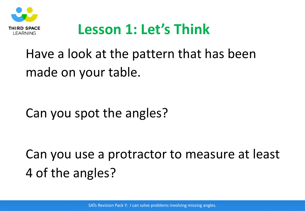

## **Lesson 1: Let's Think**

## Have a look at the pattern that has been made on your table.

#### Can you spot the angles?

# Can you use a protractor to measure at least 4 of the angles?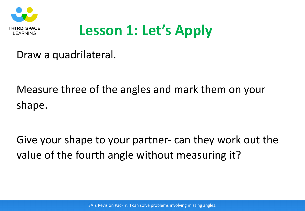

# **Lesson 1: Let's Apply**

Draw a quadrilateral.

Measure three of the angles and mark them on your shape.

Give your shape to your partner- can they work out the value of the fourth angle without measuring it?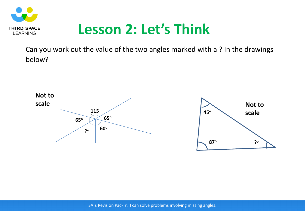

#### **Lesson 2: Let's Think**

Can you work out the value of the two angles marked with a ? In the drawings below?

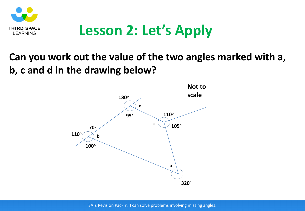

### **Lesson 2: Let's Apply**

#### **Can you work out the value of the two angles marked with a, b, c and d in the drawing below?**

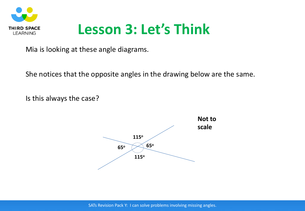

### **Lesson 3: Let's Think**

Mia is looking at these angle diagrams.

She notices that the opposite angles in the drawing below are the same.

Is this always the case?